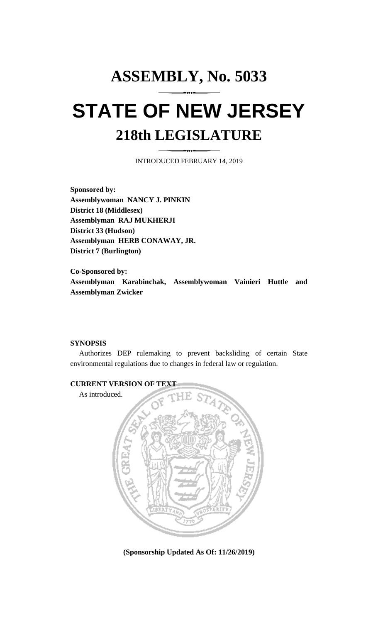# **ASSEMBLY, No. 5033 STATE OF NEW JERSEY 218th LEGISLATURE**

INTRODUCED FEBRUARY 14, 2019

**Sponsored by: Assemblywoman NANCY J. PINKIN District 18 (Middlesex) Assemblyman RAJ MUKHERJI District 33 (Hudson) Assemblyman HERB CONAWAY, JR. District 7 (Burlington)**

**Co-Sponsored by: Assemblyman Karabinchak, Assemblywoman Vainieri Huttle and Assemblyman Zwicker**

#### **SYNOPSIS**

Authorizes DEP rulemaking to prevent backsliding of certain State environmental regulations due to changes in federal law or regulation.



**(Sponsorship Updated As Of: 11/26/2019)**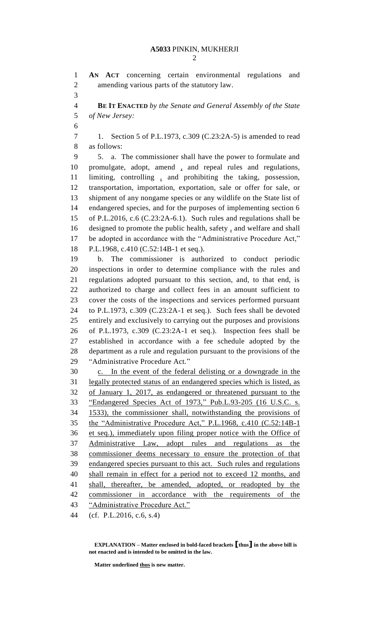**AN ACT** concerning certain environmental regulations and amending various parts of the statutory law. **BE IT ENACTED** *by the Senate and General Assembly of the State of New Jersey:* 1. Section 5 of P.L.1973, c.309 (C.23:2A-5) is amended to read as follows: 5. a. The commissioner shall have the power to formulate and promulgate, adopt, amend , and repeal rules and regulations, limiting, controlling , and prohibiting the taking, possession, transportation, importation, exportation, sale or offer for sale, or shipment of any nongame species or any wildlife on the State list of endangered species, and for the purposes of implementing section 6 of P.L.2016, c.6 (C.23:2A-6.1). Such rules and regulations shall be designed to promote the public health, safety , and welfare and shall be adopted in accordance with the "Administrative Procedure Act," P.L.1968, c.410 (C.52:14B-1 et seq.). b. The commissioner is authorized to conduct periodic inspections in order to determine compliance with the rules and regulations adopted pursuant to this section, and, to that end, is authorized to charge and collect fees in an amount sufficient to cover the costs of the inspections and services performed pursuant to P.L.1973, c.309 (C.23:2A-1 et seq.). Such fees shall be devoted entirely and exclusively to carrying out the purposes and provisions of P.L.1973, c.309 (C.23:2A-1 et seq.). Inspection fees shall be established in accordance with a fee schedule adopted by the department as a rule and regulation pursuant to the provisions of the "Administrative Procedure Act." c. In the event of the federal delisting or a downgrade in the legally protected status of an endangered species which is listed, as of January 1, 2017, as endangered or threatened pursuant to the "Endangered Species Act of 1973," Pub.L.93-205 (16 U.S.C. s. 1533), the commissioner shall, notwithstanding the provisions of the "Administrative Procedure Act," P.L.1968, c.410 (C.52:14B-1 et seq.), immediately upon filing proper notice with the Office of Administrative Law, adopt rules and regulations as the commissioner deems necessary to ensure the protection of that endangered species pursuant to this act. Such rules and regulations shall remain in effect for a period not to exceed 12 months, and shall, thereafter, be amended, adopted, or readopted by the commissioner in accordance with the requirements of the "Administrative Procedure Act." (cf. P.L.2016, c.6, s.4)

**Matter underlined thus is new matter.**

**EXPLANATION – Matter enclosed in bold-faced brackets [thus] in the above bill is not enacted and is intended to be omitted in the law.**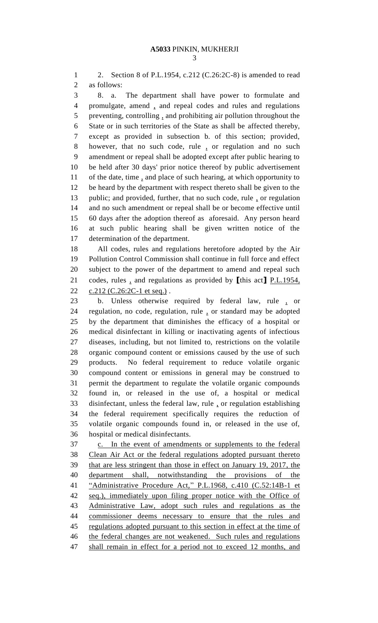2. Section 8 of P.L.1954, c.212 (C.26:2C-8) is amended to read as follows:

 8. a. The department shall have power to formulate and promulgate, amend , and repeal codes and rules and regulations preventing, controlling , and prohibiting air pollution throughout the State or in such territories of the State as shall be affected thereby, except as provided in subsection b. of this section; provided, however, that no such code, rule , or regulation and no such amendment or repeal shall be adopted except after public hearing to be held after 30 days' prior notice thereof by public advertisement of the date, time , and place of such hearing, at which opportunity to be heard by the department with respect thereto shall be given to the 13 public; and provided, further, that no such code, rule, or regulation and no such amendment or repeal shall be or become effective until 60 days after the adoption thereof as aforesaid. Any person heard at such public hearing shall be given written notice of the determination of the department.

 All codes, rules and regulations heretofore adopted by the Air Pollution Control Commission shall continue in full force and effect subject to the power of the department to amend and repeal such codes, rules , and regulations as provided by **[**this act**]** P.L.1954, 22 c.212 (C.26:2C-1 et seq.).

 b. Unless otherwise required by federal law, rule , or regulation, no code, regulation, rule , or standard may be adopted by the department that diminishes the efficacy of a hospital or medical disinfectant in killing or inactivating agents of infectious diseases, including, but not limited to, restrictions on the volatile organic compound content or emissions caused by the use of such products. No federal requirement to reduce volatile organic compound content or emissions in general may be construed to permit the department to regulate the volatile organic compounds found in, or released in the use of, a hospital or medical disinfectant, unless the federal law, rule , or regulation establishing the federal requirement specifically requires the reduction of volatile organic compounds found in, or released in the use of, hospital or medical disinfectants.

 c. In the event of amendments or supplements to the federal Clean Air Act or the federal regulations adopted pursuant thereto that are less stringent than those in effect on January 19, 2017, the department shall, notwithstanding the provisions of the "Administrative Procedure Act," P.L.1968, c.410 (C.52:14B-1 et seq.), immediately upon filing proper notice with the Office of Administrative Law, adopt such rules and regulations as the commissioner deems necessary to ensure that the rules and 45 regulations adopted pursuant to this section in effect at the time of 46 the federal changes are not weakened. Such rules and regulations 47 shall remain in effect for a period not to exceed 12 months, and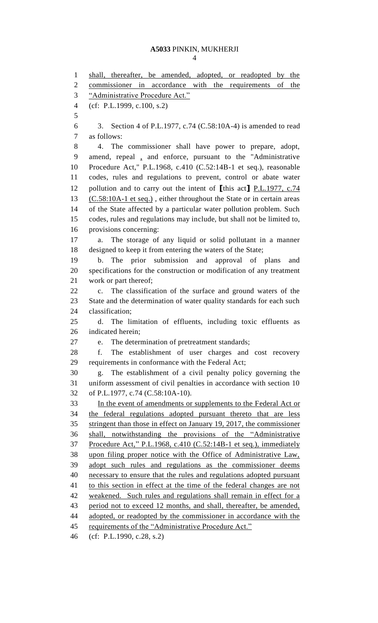## **A5033** PINKIN, MUKHERJI

 shall, thereafter, be amended, adopted, or readopted by the commissioner in accordance with the requirements of the "Administrative Procedure Act." (cf: P.L.1999, c.100, s.2) 3. Section 4 of P.L.1977, c.74 (C.58:10A-4) is amended to read as follows: 4. The commissioner shall have power to prepare, adopt, amend, repeal , and enforce, pursuant to the "Administrative Procedure Act," P.L.1968, c.410 (C.52:14B-1 et seq.), reasonable codes, rules and regulations to prevent, control or abate water pollution and to carry out the intent of **[**this act**]** P.L.1977, c.74 (C.58:10A-1 et seq.) , either throughout the State or in certain areas of the State affected by a particular water pollution problem. Such codes, rules and regulations may include, but shall not be limited to, provisions concerning: a. The storage of any liquid or solid pollutant in a manner designed to keep it from entering the waters of the State; b. The prior submission and approval of plans and specifications for the construction or modification of any treatment work or part thereof; c. The classification of the surface and ground waters of the State and the determination of water quality standards for each such classification; d. The limitation of effluents, including toxic effluents as indicated herein; e. The determination of pretreatment standards; f. The establishment of user charges and cost recovery requirements in conformance with the Federal Act; g. The establishment of a civil penalty policy governing the uniform assessment of civil penalties in accordance with section 10 of P.L.1977, c.74 (C.58:10A-10). In the event of amendments or supplements to the Federal Act or the federal regulations adopted pursuant thereto that are less stringent than those in effect on January 19, 2017, the commissioner shall, notwithstanding the provisions of the "Administrative Procedure Act," P.L.1968, c.410 (C.52:14B-1 et seq.), immediately upon filing proper notice with the Office of Administrative Law, adopt such rules and regulations as the commissioner deems necessary to ensure that the rules and regulations adopted pursuant to this section in effect at the time of the federal changes are not 42 weakened. Such rules and regulations shall remain in effect for a 43 period not to exceed 12 months, and shall, thereafter, be amended, 44 adopted, or readopted by the commissioner in accordance with the 45 requirements of the "Administrative Procedure Act."

(cf: P.L.1990, c.28, s.2)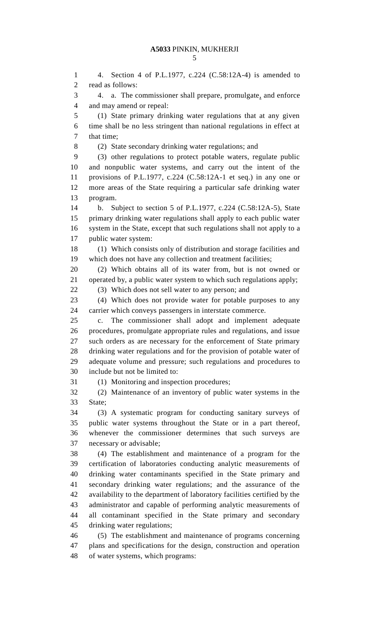4. Section 4 of P.L.1977, c.224 (C.58:12A-4) is amended to read as follows: 4. a. The commissioner shall prepare, promulgate, and enforce and may amend or repeal: (1) State primary drinking water regulations that at any given time shall be no less stringent than national regulations in effect at that time; (2) State secondary drinking water regulations; and (3) other regulations to protect potable waters, regulate public and nonpublic water systems, and carry out the intent of the provisions of P.L.1977, c.224 (C.58:12A-1 et seq.) in any one or more areas of the State requiring a particular safe drinking water program. b. Subject to section 5 of P.L.1977, c.224 (C.58:12A-5), State primary drinking water regulations shall apply to each public water system in the State, except that such regulations shall not apply to a public water system: (1) Which consists only of distribution and storage facilities and which does not have any collection and treatment facilities; (2) Which obtains all of its water from, but is not owned or operated by, a public water system to which such regulations apply; (3) Which does not sell water to any person; and (4) Which does not provide water for potable purposes to any carrier which conveys passengers in interstate commerce. c. The commissioner shall adopt and implement adequate procedures, promulgate appropriate rules and regulations, and issue such orders as are necessary for the enforcement of State primary drinking water regulations and for the provision of potable water of adequate volume and pressure; such regulations and procedures to include but not be limited to: (1) Monitoring and inspection procedures; (2) Maintenance of an inventory of public water systems in the State; (3) A systematic program for conducting sanitary surveys of public water systems throughout the State or in a part thereof, whenever the commissioner determines that such surveys are necessary or advisable; (4) The establishment and maintenance of a program for the certification of laboratories conducting analytic measurements of drinking water contaminants specified in the State primary and secondary drinking water regulations; and the assurance of the availability to the department of laboratory facilities certified by the administrator and capable of performing analytic measurements of all contaminant specified in the State primary and secondary drinking water regulations; (5) The establishment and maintenance of programs concerning plans and specifications for the design, construction and operation

of water systems, which programs: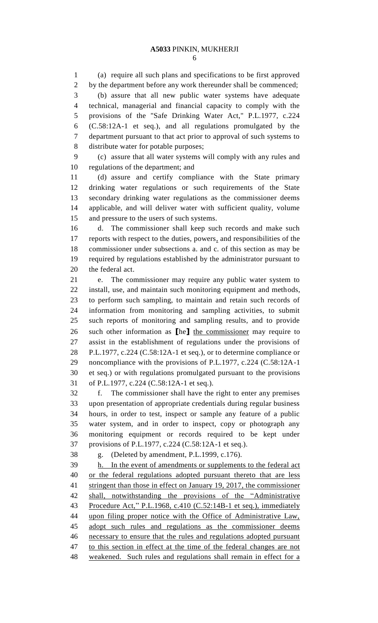(a) require all such plans and specifications to be first approved by the department before any work thereunder shall be commenced; (b) assure that all new public water systems have adequate technical, managerial and financial capacity to comply with the provisions of the "Safe Drinking Water Act," P.L.1977, c.224 (C.58:12A-1 et seq.), and all regulations promulgated by the department pursuant to that act prior to approval of such systems to distribute water for potable purposes;

 (c) assure that all water systems will comply with any rules and regulations of the department; and

 (d) assure and certify compliance with the State primary drinking water regulations or such requirements of the State secondary drinking water regulations as the commissioner deems applicable, and will deliver water with sufficient quality, volume and pressure to the users of such systems.

 d. The commissioner shall keep such records and make such reports with respect to the duties, powers, and responsibilities of the commissioner under subsections a. and c. of this section as may be required by regulations established by the administrator pursuant to the federal act.

 e. The commissioner may require any public water system to install, use, and maintain such monitoring equipment and methods, to perform such sampling, to maintain and retain such records of information from monitoring and sampling activities, to submit such reports of monitoring and sampling results, and to provide such other information as **[**he**]** the commissioner may require to assist in the establishment of regulations under the provisions of P.L.1977, c.224 (C.58:12A-1 et seq.), or to determine compliance or noncompliance with the provisions of P.L.1977, c.224 (C.58:12A-1 et seq.) or with regulations promulgated pursuant to the provisions of P.L.1977, c.224 (C.58:12A-1 et seq.).

 f. The commissioner shall have the right to enter any premises upon presentation of appropriate credentials during regular business hours, in order to test, inspect or sample any feature of a public water system, and in order to inspect, copy or photograph any monitoring equipment or records required to be kept under provisions of P.L.1977, c.224 (C.58:12A-1 et seq.).

g. (Deleted by amendment, P.L.1999, c.176).

 h. In the event of amendments or supplements to the federal act or the federal regulations adopted pursuant thereto that are less stringent than those in effect on January 19, 2017, the commissioner shall, notwithstanding the provisions of the "Administrative Procedure Act," P.L.1968, c.410 (C.52:14B-1 et seq.), immediately upon filing proper notice with the Office of Administrative Law, 45 adopt such rules and regulations as the commissioner deems necessary to ensure that the rules and regulations adopted pursuant to this section in effect at the time of the federal changes are not weakened. Such rules and regulations shall remain in effect for a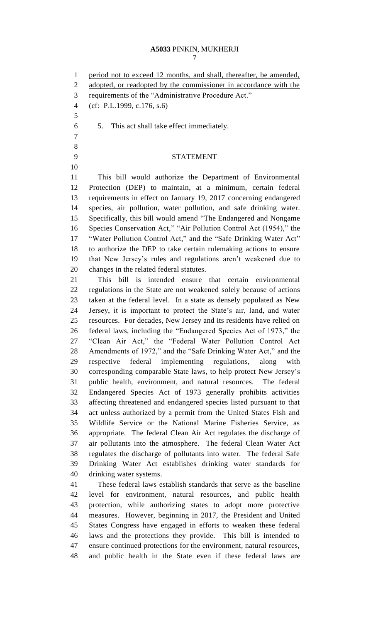### **A5033** PINKIN, MUKHERJI

1 period not to exceed 12 months, and shall, thereafter, be amended,

2 adopted, or readopted by the commissioner in accordance with the

(cf: P.L.1999, c.176, s.6)

5. This act shall take effect immediately.

 

## STATEMENT

 This bill would authorize the Department of Environmental Protection (DEP) to maintain, at a minimum, certain federal requirements in effect on January 19, 2017 concerning endangered species, air pollution, water pollution, and safe drinking water. Specifically, this bill would amend "The Endangered and Nongame Species Conservation Act," "Air Pollution Control Act (1954)," the "Water Pollution Control Act," and the "Safe Drinking Water Act" to authorize the DEP to take certain rulemaking actions to ensure that New Jersey's rules and regulations aren't weakened due to changes in the related federal statutes.

 This bill is intended ensure that certain environmental regulations in the State are not weakened solely because of actions taken at the federal level. In a state as densely populated as New Jersey, it is important to protect the State's air, land, and water resources. For decades, New Jersey and its residents have relied on federal laws, including the "Endangered Species Act of 1973," the "Clean Air Act," the "Federal Water Pollution Control Act Amendments of 1972," and the "Safe Drinking Water Act," and the respective federal implementing regulations, along with corresponding comparable State laws, to help protect New Jersey's public health, environment, and natural resources. The federal Endangered Species Act of 1973 generally prohibits activities affecting threatened and endangered species listed pursuant to that act unless authorized by a permit from the United States Fish and Wildlife Service or the National Marine Fisheries Service, as appropriate. The federal Clean Air Act regulates the discharge of air pollutants into the atmosphere. The federal Clean Water Act regulates the discharge of pollutants into water. The federal Safe Drinking Water Act establishes drinking water standards for drinking water systems.

 These federal laws establish standards that serve as the baseline level for environment, natural resources, and public health protection, while authorizing states to adopt more protective measures. However, beginning in 2017, the President and United States Congress have engaged in efforts to weaken these federal laws and the protections they provide. This bill is intended to ensure continued protections for the environment, natural resources, and public health in the State even if these federal laws are

requirements of the "Administrative Procedure Act."